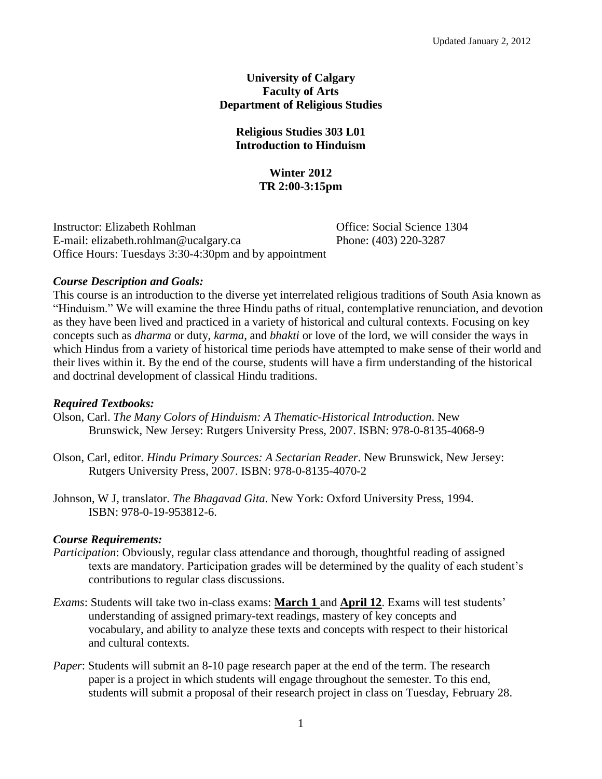# **University of Calgary Faculty of Arts Department of Religious Studies**

# **Religious Studies 303 L01 Introduction to Hinduism**

# **Winter 2012 TR 2:00-3:15pm**

Instructor: Elizabeth Rohlman Office: Social Science 1304 E-mail: elizabeth.rohlman@ucalgary.ca Phone: (403) 220-3287 Office Hours: Tuesdays 3:30-4:30pm and by appointment

# *Course Description and Goals:*

This course is an introduction to the diverse yet interrelated religious traditions of South Asia known as "Hinduism." We will examine the three Hindu paths of ritual, contemplative renunciation, and devotion as they have been lived and practiced in a variety of historical and cultural contexts. Focusing on key concepts such as *dharma* or duty, *karma*, and *bhakti* or love of the lord, we will consider the ways in which Hindus from a variety of historical time periods have attempted to make sense of their world and their lives within it. By the end of the course, students will have a firm understanding of the historical and doctrinal development of classical Hindu traditions.

# *Required Textbooks:*

- Olson, Carl. *The Many Colors of Hinduism: A Thematic-Historical Introduction*. New Brunswick, New Jersey: Rutgers University Press, 2007. ISBN: 978-0-8135-4068-9
- Olson, Carl, editor. *Hindu Primary Sources: A Sectarian Reader*. New Brunswick, New Jersey: Rutgers University Press, 2007. ISBN: 978-0-8135-4070-2
- Johnson, W J, translator. *The Bhagavad Gita*. New York: Oxford University Press, 1994. ISBN: 978-0-19-953812-6.

# *Course Requirements:*

- *Participation*: Obviously, regular class attendance and thorough, thoughtful reading of assigned texts are mandatory. Participation grades will be determined by the quality of each student's contributions to regular class discussions.
- *Exams*: Students will take two in-class exams: **March 1** and **April 12**. Exams will test students' understanding of assigned primary-text readings, mastery of key concepts and vocabulary, and ability to analyze these texts and concepts with respect to their historical and cultural contexts.
- *Paper*: Students will submit an 8-10 page research paper at the end of the term. The research paper is a project in which students will engage throughout the semester. To this end, students will submit a proposal of their research project in class on Tuesday, February 28.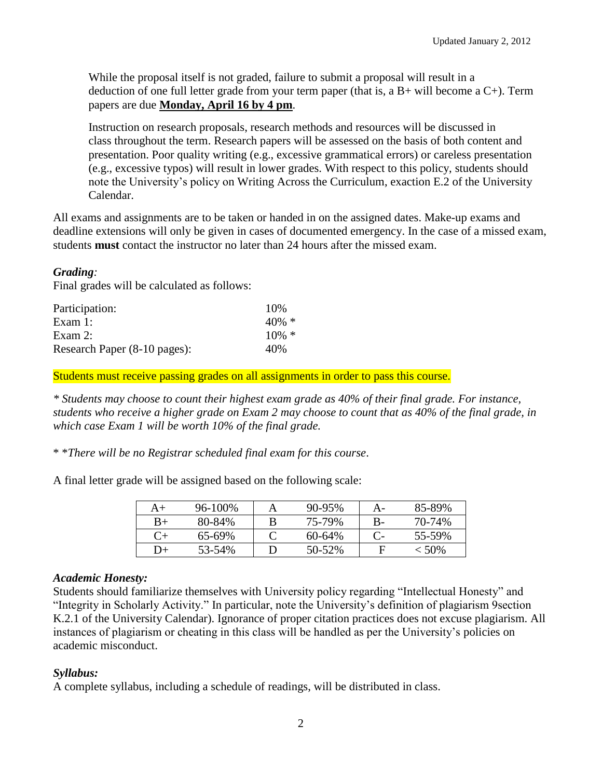While the proposal itself is not graded, failure to submit a proposal will result in a deduction of one full letter grade from your term paper (that is, a  $B+$  will become a  $C+$ ). Term papers are due **Monday, April 16 by 4 pm**.

Instruction on research proposals, research methods and resources will be discussed in class throughout the term. Research papers will be assessed on the basis of both content and presentation. Poor quality writing (e.g., excessive grammatical errors) or careless presentation (e.g., excessive typos) will result in lower grades. With respect to this policy, students should note the University's policy on Writing Across the Curriculum, exaction E.2 of the University Calendar.

All exams and assignments are to be taken or handed in on the assigned dates. Make-up exams and deadline extensions will only be given in cases of documented emergency. In the case of a missed exam, students **must** contact the instructor no later than 24 hours after the missed exam.

# *Grading:*

Final grades will be calculated as follows:

| Participation:               | 10%      |
|------------------------------|----------|
| Exam $1$ :                   | $40\% *$ |
| Exam $2$ :                   | $10\% *$ |
| Research Paper (8-10 pages): | 40%      |

Students must receive passing grades on all assignments in order to pass this course.

*\* Students may choose to count their highest exam grade as 40% of their final grade. For instance, students who receive a higher grade on Exam 2 may choose to count that as 40% of the final grade, in which case Exam 1 will be worth 10% of the final grade.* 

\* \**There will be no Registrar scheduled final exam for this course*.

A final letter grade will be assigned based on the following scale:

| A+        | 96-100%     | $90 - 95%$  |    | 85-89%   |
|-----------|-------------|-------------|----|----------|
| $B+$      | 80-84%      | 75-79%      | В- | 70-74%   |
| $C_{\pm}$ | $65 - 69\%$ | $60 - 64\%$ |    | 55-59%   |
| ' )+      | 53-54%      | 50-52%      | F  | $< 50\%$ |

## *Academic Honesty:*

Students should familiarize themselves with University policy regarding "Intellectual Honesty" and "Integrity in Scholarly Activity." In particular, note the University's definition of plagiarism 9section K.2.1 of the University Calendar). Ignorance of proper citation practices does not excuse plagiarism. All instances of plagiarism or cheating in this class will be handled as per the University's policies on academic misconduct.

## *Syllabus:*

A complete syllabus, including a schedule of readings, will be distributed in class.